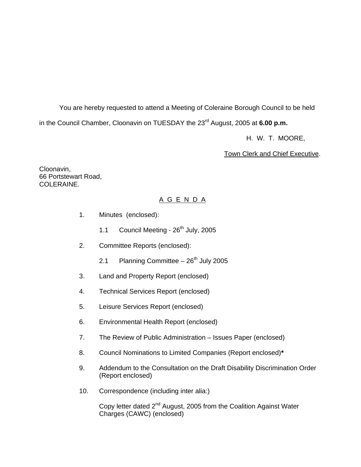You are hereby requested to attend a Meeting of Coleraine Borough Council to be held in the Council Chamber, Cloonavin on TUESDAY the 23<sup>rd</sup> August, 2005 at 6.00 p.m.

H. W. T. MOORE,

Town Clerk and Chief Executive.

Cloonavin, 66 Portstewart Road, COLERAINE.

## A G E N D A

- 1. Minutes (enclosed):
	- 1.1 Council Meeting 26<sup>th</sup> July, 2005
- 2. Committee Reports (enclosed):
	- 2.1 Planning Committee  $-26<sup>th</sup>$  July 2005
- 3. Land and Property Report (enclosed)
- 4. Technical Services Report (enclosed)
- 5. Leisure Services Report (enclosed)
- 6. Environmental Health Report (enclosed)
- 7. The Review of Public Administration Issues Paper (enclosed)
- 8. Council Nominations to Limited Companies (Report enclosed)**\***
- 9. Addendum to the Consultation on the Draft Disability Discrimination Order (Report enclosed)
- 10. Correspondence (including inter alia:)

Copy letter dated 2<sup>nd</sup> August, 2005 from the Coalition Against Water Charges (CAWC) (enclosed)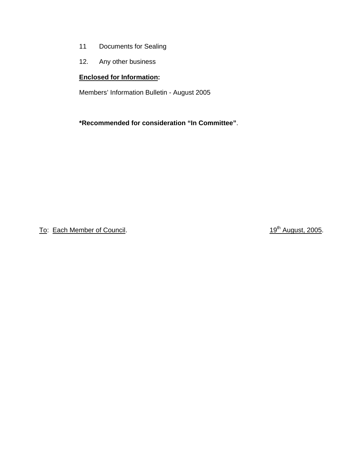- 11 Documents for Sealing
- 12. Any other business

## **Enclosed for Information:**

Members' Information Bulletin - August 2005

**\*Recommended for consideration "In Committee"**.

To: Each Member of Council. To: Each Member of Council.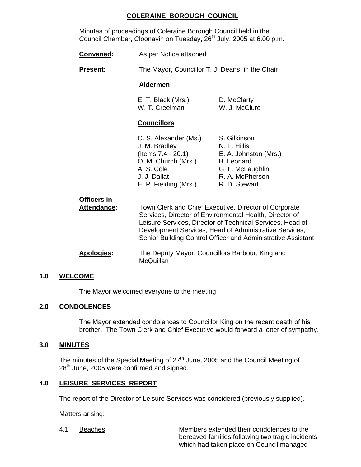## **COLERAINE BOROUGH COUNCIL**

 Minutes of proceedings of Coleraine Borough Council held in the Council Chamber, Cloonavin on Tuesday,  $26<sup>th</sup>$  July, 2005 at 6.00 p.m.

**Convened:** As per Notice attached

**Present:** The Mayor, Councillor T. J. Deans, in the Chair

#### **Aldermen**

| E. T. Black (Mrs.) | D. McClarty   |
|--------------------|---------------|
| W. T. Creelman     | W. J. McClure |

## **Councillors**

| C. S. Alexander (Ms.) | S. Gilkinson          |
|-----------------------|-----------------------|
| J. M. Bradley         | N. F. Hillis          |
| (Items 7.4 - 20.1)    | E. A. Johnston (Mrs.) |
| O. M. Church (Mrs.)   | <b>B.</b> Leonard     |
| A. S. Cole            | G. L. McLaughlin      |
| J. J. Dallat          | R. A. McPherson       |
| E. P. Fielding (Mrs.) | R. D. Stewart         |

| <b>Officers in</b> |                                                                                                                                                                                                                                                                                                         |
|--------------------|---------------------------------------------------------------------------------------------------------------------------------------------------------------------------------------------------------------------------------------------------------------------------------------------------------|
| <b>Attendance:</b> | Town Clerk and Chief Executive, Director of Corporate<br>Services, Director of Environmental Health, Director of<br>Leisure Services, Director of Technical Services, Head of<br>Development Services, Head of Administrative Services,<br>Senior Building Control Officer and Administrative Assistant |
| <b>Apologies:</b>  | The Deputy Mayor, Councillors Barbour, King and<br><b>McQuillan</b>                                                                                                                                                                                                                                     |

### **1.0 WELCOME**

The Mayor welcomed everyone to the meeting.

### **2.0 CONDOLENCES**

 The Mayor extended condolences to Councillor King on the recent death of his brother. The Town Clerk and Chief Executive would forward a letter of sympathy.

### **3.0 MINUTES**

The minutes of the Special Meeting of  $27<sup>th</sup>$  June, 2005 and the Council Meeting of 28<sup>th</sup> June, 2005 were confirmed and signed.

## **4.0 LEISURE SERVICES REPORT**

The report of the Director of Leisure Services was considered (previously supplied).

Matters arising:

 4.1 Beaches Members extended their condolences to the bereaved families following two tragic incidents which had taken place on Council managed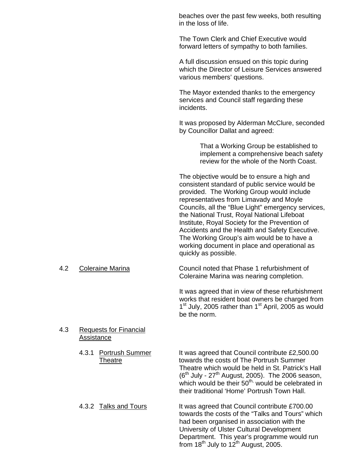beaches over the past few weeks, both resulting in the loss of life.

The Town Clerk and Chief Executive would forward letters of sympathy to both families.

A full discussion ensued on this topic during which the Director of Leisure Services answered various members' questions.

The Mayor extended thanks to the emergency services and Council staff regarding these incidents.

It was proposed by Alderman McClure, seconded by Councillor Dallat and agreed:

> That a Working Group be established to implement a comprehensive beach safety review for the whole of the North Coast.

The objective would be to ensure a high and consistent standard of public service would be provided. The Working Group would include representatives from Limavady and Moyle Councils, all the "Blue Light" emergency services, the National Trust, Royal National Lifeboat Institute, Royal Society for the Prevention of Accidents and the Health and Safety Executive. The Working Group's aim would be to have a working document in place and operational as quickly as possible.

 4.2 Coleraine Marina Council noted that Phase 1 refurbishment of Coleraine Marina was nearing completion.

> It was agreed that in view of these refurbishment works that resident boat owners be charged from  $1<sup>st</sup>$  July, 2005 rather than  $1<sup>st</sup>$  April, 2005 as would be the norm.

#### 4.3 Requests for Financial Assistance

- 4.3.1 Portrush Summer It was agreed that Council contribute £2,500.00 Theatre towards the costs of The Portrush Summer Theatre which would be held in St. Patrick's Hall  $(6<sup>th</sup>$  July - 27<sup>th</sup> August, 2005). The 2006 season, which would be their  $50<sup>th</sup>$ , would be celebrated in their traditional 'Home' Portrush Town Hall.
- 4.3.2 Talks and Tours It was agreed that Council contribute £700.00 towards the costs of the "Talks and Tours" which had been organised in association with the University of Ulster Cultural Development Department. This year's programme would run from 18<sup>th</sup> July to 12<sup>th</sup> August, 2005.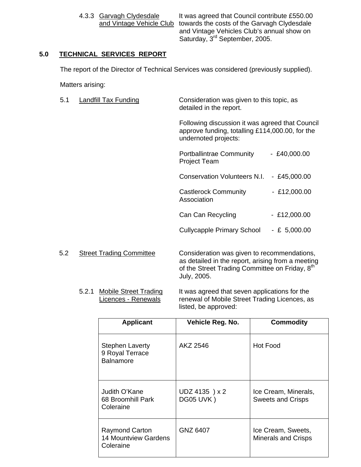4.3.3 Garvagh Clydesdale It was agreed that Council contribute £550.00 and Vintage Vehicle Club towards the costs of the Garvagh Clydesdale and Vintage Vehicles Club's annual show on Saturday, 3<sup>rd</sup> September, 2005.

## **5.0 TECHNICAL SERVICES REPORT**

The report of the Director of Technical Services was considered (previously supplied).

Matters arising:

| 5.1 | Landfill Tax Funding            | Consideration was given to this topic, as<br>detailed in the report.                                                       |                |
|-----|---------------------------------|----------------------------------------------------------------------------------------------------------------------------|----------------|
|     |                                 | Following discussion it was agreed that Council<br>approve funding, totalling £114,000.00, for the<br>undernoted projects: |                |
|     |                                 | <b>Portballintrae Community</b><br><b>Project Team</b>                                                                     | $-$ £40,000.00 |
|     |                                 | <b>Conservation Volunteers N.I.</b>                                                                                        | $-$ £45,000.00 |
|     |                                 | Castlerock Community<br>Association                                                                                        | $-$ £12,000.00 |
|     |                                 | Can Can Recycling                                                                                                          | $-$ £12,000.00 |
|     |                                 | <b>Cullycapple Primary School</b>                                                                                          | $-E 5,000.00$  |
| 5.2 | <b>Street Trading Committee</b> | Consideration was given to recommendations,                                                                                |                |

as detailed in the report, arising from a meeting of the Street Trading Committee on Friday, 8<sup>th</sup> July, 2005.

5.2.1 Mobile Street Trading It was agreed that seven applications for the<br>Licences - Renewals renewal of Mobile Street Trading Licences, as renewal of Mobile Street Trading Licences, as listed, be approved:

| <b>Applicant</b>                                                  | Vehicle Reg. No.            | <b>Commodity</b>                                 |
|-------------------------------------------------------------------|-----------------------------|--------------------------------------------------|
| <b>Stephen Laverty</b><br>9 Royal Terrace<br><b>Balnamore</b>     | AKZ 2546                    | <b>Hot Food</b>                                  |
| Judith O'Kane<br>68 Broomhill Park<br>Coleraine                   | UDZ 4135 ) x 2<br>DG05 UVK) | Ice Cream, Minerals,<br><b>Sweets and Crisps</b> |
| <b>Raymond Carton</b><br><b>14 Mountview Gardens</b><br>Coleraine | GNZ 6407                    | Ice Cream, Sweets,<br><b>Minerals and Crisps</b> |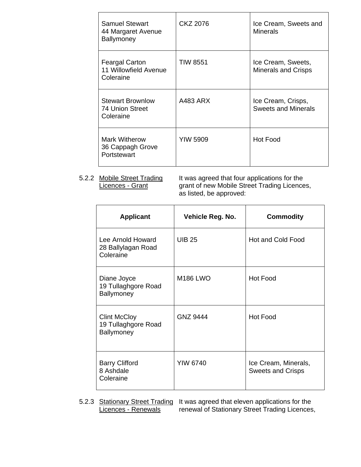| <b>Samuel Stewart</b><br>44 Margaret Avenue<br>Ballymoney   | CKZ 2076        | Ice Cream, Sweets and<br><b>Minerals</b>         |
|-------------------------------------------------------------|-----------------|--------------------------------------------------|
| <b>Feargal Carton</b><br>11 Willowfield Avenue<br>Coleraine | TIW 8551        | Ice Cream, Sweets,<br><b>Minerals and Crisps</b> |
| <b>Stewart Brownlow</b><br>74 Union Street<br>Coleraine     | A483 ARX        | Ice Cream, Crisps,<br><b>Sweets and Minerals</b> |
| <b>Mark Witherow</b><br>36 Cappagh Grove<br>Portstewart     | <b>YIW 5909</b> | <b>Hot Food</b>                                  |

5.2.2 Mobile Street Trading It was agreed that four applications for the Licences - Grant **grant of new Mobile Street Trading Licences**, as listed, be approved:

| <b>Applicant</b>                                         | Vehicle Reg. No. | <b>Commodity</b>                                 |
|----------------------------------------------------------|------------------|--------------------------------------------------|
| Lee Arnold Howard<br>28 Ballylagan Road<br>Coleraine     | <b>UIB 25</b>    | Hot and Cold Food                                |
| Diane Joyce<br>19 Tullaghgore Road<br>Ballymoney         | <b>M186 LWO</b>  | <b>Hot Food</b>                                  |
| <b>Clint McCloy</b><br>19 Tullaghgore Road<br>Ballymoney | <b>GNZ 9444</b>  | <b>Hot Food</b>                                  |
| <b>Barry Clifford</b><br>8 Ashdale<br>Coleraine          | <b>YIW 6740</b>  | Ice Cream, Minerals,<br><b>Sweets and Crisps</b> |

5.2.3 Stationary Street Trading It was agreed that eleven applications for the<br>Licences - Renewals renewal of Stationary Street Trading Licences renewal of Stationary Street Trading Licences,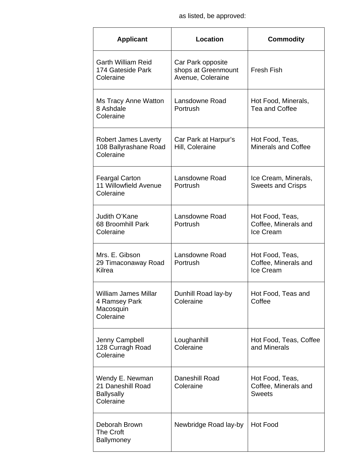as listed, be approved:

| <b>Applicant</b>                                                       | <b>Location</b>                                               | <b>Commodity</b>                                         |
|------------------------------------------------------------------------|---------------------------------------------------------------|----------------------------------------------------------|
| <b>Garth William Reid</b><br>174 Gateside Park<br>Coleraine            | Car Park opposite<br>shops at Greenmount<br>Avenue, Coleraine | <b>Fresh Fish</b>                                        |
| <b>Ms Tracy Anne Watton</b><br>8 Ashdale<br>Coleraine                  | Lansdowne Road<br>Portrush                                    | Hot Food, Minerals,<br>Tea and Coffee                    |
| <b>Robert James Laverty</b><br>108 Ballyrashane Road<br>Coleraine      | Car Park at Harpur's<br>Hill, Coleraine                       | Hot Food, Teas,<br><b>Minerals and Coffee</b>            |
| <b>Feargal Carton</b><br>11 Willowfield Avenue<br>Coleraine            | Lansdowne Road<br>Portrush                                    | Ice Cream, Minerals,<br><b>Sweets and Crisps</b>         |
| Judith O'Kane<br>68 Broomhill Park<br>Coleraine                        | Lansdowne Road<br>Portrush                                    | Hot Food, Teas,<br>Coffee, Minerals and<br>Ice Cream     |
| Mrs. E. Gibson<br>29 Timaconaway Road<br>Kilrea                        | Lansdowne Road<br>Portrush                                    | Hot Food, Teas,<br>Coffee, Minerals and<br>Ice Cream     |
| <b>William James Millar</b><br>4 Ramsey Park<br>Macosquin<br>Coleraine | Dunhill Road lay-by<br>Coleraine                              | Hot Food, Teas and<br>Coffee                             |
| Jenny Campbell<br>128 Curragh Road<br>Coleraine                        | Loughanhill<br>Coleraine                                      | Hot Food, Teas, Coffee<br>and Minerals                   |
| Wendy E. Newman<br>21 Daneshill Road<br><b>Ballysally</b><br>Coleraine | Daneshill Road<br>Coleraine                                   | Hot Food, Teas,<br>Coffee, Minerals and<br><b>Sweets</b> |
| Deborah Brown<br><b>The Croft</b><br>Ballymoney                        | Newbridge Road lay-by                                         | Hot Food                                                 |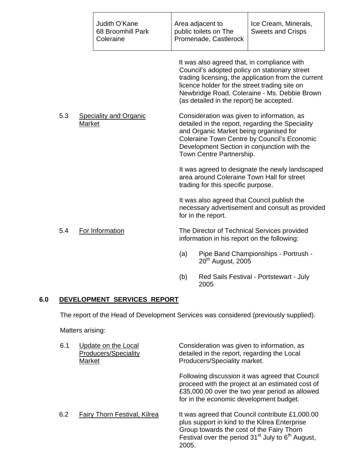|     |               | Judith O'Kane<br>68 Broomhill Park<br>Coleraine |     | Area adjacent to<br>public toilets on The<br>Promenade, Castlerock | Ice Cream, Minerals,<br><b>Sweets and Crisps</b>                                                                                                                                                                                                     |
|-----|---------------|-------------------------------------------------|-----|--------------------------------------------------------------------|------------------------------------------------------------------------------------------------------------------------------------------------------------------------------------------------------------------------------------------------------|
|     |               |                                                 |     | (as detailed in the report) be accepted.                           | It was also agreed that, in compliance with<br>Council's adopted policy on stationary street<br>trading licensing, the application from the current<br>licence holder for the street trading site on<br>Newbridge Road, Coleraine - Ms. Debbie Brown |
| 5.3 | <b>Market</b> | <b>Speciality and Organic</b>                   |     | and Organic Market being organised for<br>Town Centre Partnership. | Consideration was given to information, as<br>detailed in the report, regarding the Speciality<br>Coleraine Town Centre by Council's Economic<br>Development Section in conjunction with the                                                         |
|     |               |                                                 |     | trading for this specific purpose.                                 | It was agreed to designate the newly landscaped<br>area around Coleraine Town Hall for street                                                                                                                                                        |
|     |               |                                                 |     | for in the report.                                                 | It was also agreed that Council publish the<br>necessary advertisement and consult as provided                                                                                                                                                       |
| 5.4 |               | For Information                                 |     | information in his report on the following:                        | The Director of Technical Services provided                                                                                                                                                                                                          |
|     |               |                                                 | (a) | 20 <sup>th</sup> August, 2005                                      | Pipe Band Championships - Portrush -                                                                                                                                                                                                                 |
|     |               |                                                 | (b) |                                                                    | Red Sails Festival - Portstewart - July                                                                                                                                                                                                              |

# **6.0 DEVELOPMENT SERVICES REPORT**

The report of the Head of Development Services was considered (previously supplied).

2005

Matters arising:

| 6.1 | Update on the Local<br>Producers/Speciality<br>Market | Consideration was given to information, as<br>detailed in the report, regarding the Local<br>Producers/Speciality market.                                                                                       |
|-----|-------------------------------------------------------|-----------------------------------------------------------------------------------------------------------------------------------------------------------------------------------------------------------------|
|     |                                                       | Following discussion it was agreed that Council<br>proceed with the project at an estimated cost of<br>£35,000.00 over the two year period as allowed<br>for in the economic development budget.                |
| 6.2 | <b>Fairy Thorn Festival, Kilrea</b>                   | It was agreed that Council contribute £1,000.00<br>plus support in kind to the Kilrea Enterprise<br>Group towards the cost of the Fairy Thorn<br>Festival over the period $31st$ July to $6th$ August,<br>2005. |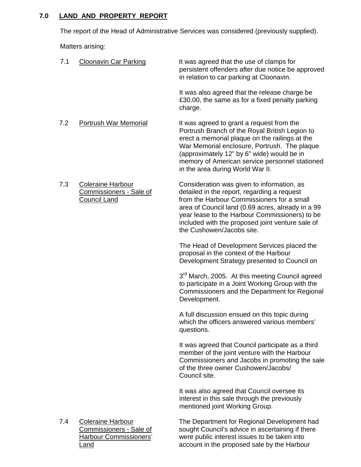# **7.0 LAND AND PROPERTY REPORT**

The report of the Head of Administrative Services was considered (previously supplied).

Matters arising:

| 7.1 | <b>Cloonavin Car Parking</b>                                                         | It was agreed that the use of clamps for<br>persistent offenders after due notice be approved<br>in relation to car parking at Cloonavin.                                                                                                                                                                                         |
|-----|--------------------------------------------------------------------------------------|-----------------------------------------------------------------------------------------------------------------------------------------------------------------------------------------------------------------------------------------------------------------------------------------------------------------------------------|
|     |                                                                                      | It was also agreed that the release charge be<br>£30.00, the same as for a fixed penalty parking<br>charge.                                                                                                                                                                                                                       |
| 7.2 | Portrush War Memorial                                                                | It was agreed to grant a request from the<br>Portrush Branch of the Royal British Legion to<br>erect a memorial plaque on the railings at the<br>War Memorial enclosure, Portrush. The plaque<br>(approximately 12" by 6" wide) would be in<br>memory of American service personnel stationed<br>in the area during World War II. |
| 7.3 | <b>Coleraine Harbour</b><br>Commissioners - Sale of<br><b>Council Land</b>           | Consideration was given to information, as<br>detailed in the report, regarding a request<br>from the Harbour Commissioners for a small<br>area of Council land (0.69 acres, already in a 99<br>year lease to the Harbour Commissioners) to be<br>included with the proposed joint venture sale of<br>the Cushowen/Jacobs site.   |
|     |                                                                                      | The Head of Development Services placed the<br>proposal in the context of the Harbour<br>Development Strategy presented to Council on                                                                                                                                                                                             |
|     |                                                                                      | 3 <sup>rd</sup> March, 2005. At this meeting Council agreed<br>to participate in a Joint Working Group with the<br>Commissioners and the Department for Regional<br>Development.                                                                                                                                                  |
|     |                                                                                      | A full discussion ensued on this topic during<br>which the officers answered various members'<br>questions.                                                                                                                                                                                                                       |
|     |                                                                                      | It was agreed that Council participate as a third<br>member of the joint venture with the Harbour<br>Commissioners and Jacobs in promoting the sale<br>of the three owner Cushowen/Jacobs/<br>Council site.                                                                                                                       |
|     |                                                                                      | It was also agreed that Council oversee its<br>interest in this sale through the previously<br>mentioned joint Working Group.                                                                                                                                                                                                     |
| 7.4 | <b>Coleraine Harbour</b><br>Commissioners - Sale of<br><b>Harbour Commissioners'</b> | The Department for Regional Development had<br>sought Council's advice in ascertaining if there<br>were public interest issues to be taken into                                                                                                                                                                                   |

Land **Land Example 3** account in the proposed sale by the Harbour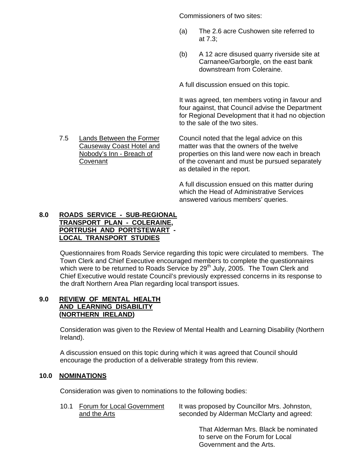Commissioners of two sites:

- (a) The 2.6 acre Cushowen site referred to at 7.3;
- (b) A 12 acre disused quarry riverside site at Carnanee/Garborgle, on the east bank downstream from Coleraine.

A full discussion ensued on this topic.

It was agreed, ten members voting in favour and four against, that Council advise the Department for Regional Development that it had no objection to the sale of the two sites.

 7.5 Lands Between the Former Council noted that the legal advice on this Causeway Coast Hotel and matter was that the owners of the twelve Nobody's Inn - Breach of properties on this land were now each in breach Covenant of the covenant and must be pursued separately as detailed in the report.

> A full discussion ensued on this matter during which the Head of Administrative Services answered various members' queries.

### **8.0 ROADS SERVICE - SUB-REGIONAL TRANSPORT PLAN - COLERAINE, PORTRUSH AND PORTSTEWART - LOCAL TRANSPORT STUDIES**

Questionnaires from Roads Service regarding this topic were circulated to members. The Town Clerk and Chief Executive encouraged members to complete the questionnaires which were to be returned to Roads Service by 29<sup>th</sup> July, 2005. The Town Clerk and Chief Executive would restate Council's previously expressed concerns in its response to the draft Northern Area Plan regarding local transport issues.

## **9.0 REVIEW OF MENTAL HEALTH AND LEARNING DISABILITY (NORTHERN IRELAND)**

Consideration was given to the Review of Mental Health and Learning Disability (Northern Ireland).

A discussion ensued on this topic during which it was agreed that Council should encourage the production of a deliverable strategy from this review.

## **10.0 NOMINATIONS**

Consideration was given to nominations to the following bodies:

10.1 Forum for Local Government It was proposed by Councillor Mrs. Johnston, and the Arts seconded by Alderman McClarty and agreed:

> That Alderman Mrs. Black be nominated to serve on the Forum for Local Government and the Arts.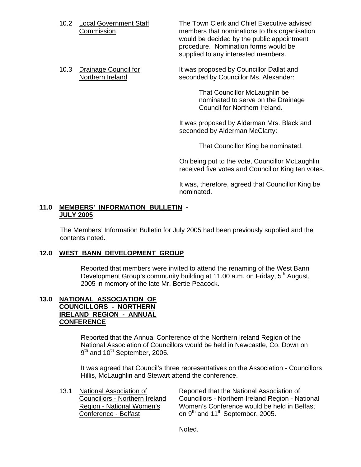10.2 Local Government Staff The Town Clerk and Chief Executive advised Commission members that nominations to this organisation would be decided by the public appointment procedure. Nomination forms would be supplied to any interested members.

10.3 Drainage Council for **It was proposed by Councillor Dallat and** Northern Ireland seconded by Councillor Ms. Alexander:

> That Councillor McLaughlin be nominated to serve on the Drainage Council for Northern Ireland.

It was proposed by Alderman Mrs. Black and seconded by Alderman McClarty:

That Councillor King be nominated.

On being put to the vote, Councillor McLaughlin received five votes and Councillor King ten votes.

It was, therefore, agreed that Councillor King be nominated.

#### **11.0 MEMBERS' INFORMATION BULLETIN - JULY 2005**

The Members' Information Bulletin for July 2005 had been previously supplied and the contents noted.

### **12.0 WEST BANN DEVELOPMENT GROUP**

Reported that members were invited to attend the renaming of the West Bann Development Group's community building at 11.00 a.m. on Friday, 5<sup>th</sup> August, 2005 in memory of the late Mr. Bertie Peacock.

#### **13.0 NATIONAL ASSOCIATION OF COUNCILLORS - NORTHERN IRELAND REGION - ANNUAL CONFERENCE**

Reported that the Annual Conference of the Northern Ireland Region of the National Association of Councillors would be held in Newcastle, Co. Down on 9<sup>th</sup> and 10<sup>th</sup> September, 2005.

It was agreed that Council's three representatives on the Association - Councillors Hillis, McLaughlin and Stewart attend the conference.

 13.1 National Association of Reported that the National Association of Councillors - Northern Ireland Councillors - Northern Ireland Region - National<br>Region - National Women's Women's Conference would be held in Belfast Women's Conference would be held in Belfast Conference - Belfast on  $9<sup>th</sup>$  and 11<sup>th</sup> September, 2005.

Noted.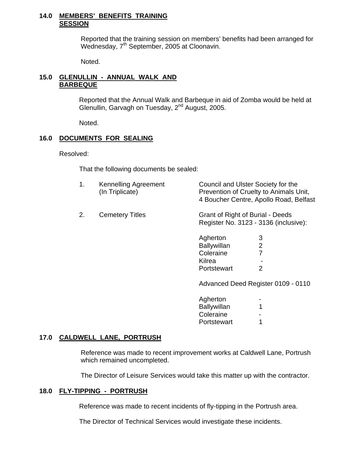#### **14.0 MEMBERS' BENEFITS TRAINING SESSION**

Reported that the training session on members' benefits had been arranged for Wednesday, 7<sup>th</sup> September, 2005 at Cloonavin.

Noted.

#### **15.0 GLENULLIN - ANNUAL WALK AND BARBEQUE**

 Reported that the Annual Walk and Barbeque in aid of Zomba would be held at Glenullin, Garvagh on Tuesday, 2<sup>nd</sup> August, 2005.

Noted.

### **16.0 DOCUMENTS FOR SEALING**

Resolved:

That the following documents be sealed:

| <b>Kennelling Agreement</b> | Council and Ulster Society for the     |
|-----------------------------|----------------------------------------|
| (In Triplicate)             | Prevention of Cruelty to Animals Unit, |
|                             | 4 Boucher Centre, Apollo Road, Belfast |

2. Cemetery Titles Grant of Right of Burial - Deeds Register No. 3123 - 3136 (inclusive):

| Agherton           | З |
|--------------------|---|
| <b>Ballywillan</b> | 2 |
| Coleraine          | 7 |
| Kilrea             |   |
| Portstewart        | 2 |

Advanced Deed Register 0109 - 0110

| Agherton    |   |
|-------------|---|
| Ballywillan | 1 |
| Coleraine   |   |
| Portstewart | 1 |

## **17.0 CALDWELL LANE, PORTRUSH**

Reference was made to recent improvement works at Caldwell Lane, Portrush which remained uncompleted.

The Director of Leisure Services would take this matter up with the contractor.

### **18.0 FLY-TIPPING - PORTRUSH**

Reference was made to recent incidents of fly-tipping in the Portrush area.

The Director of Technical Services would investigate these incidents.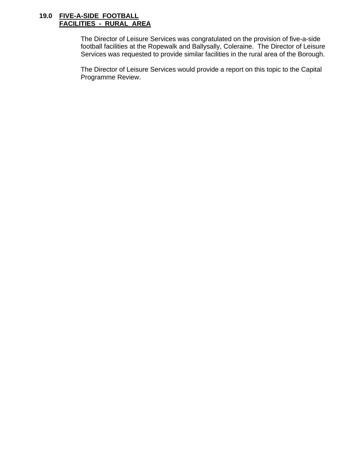#### **19.0 FIVE-A-SIDE FOOTBALL FACILITIES - RURAL AREA**

The Director of Leisure Services was congratulated on the provision of five-a-side football facilities at the Ropewalk and Ballysally, Coleraine. The Director of Leisure Services was requested to provide similar facilities in the rural area of the Borough.

The Director of Leisure Services would provide a report on this topic to the Capital Programme Review.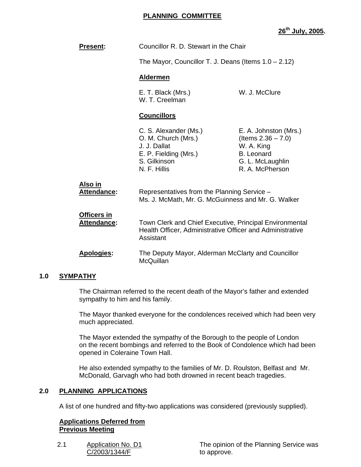## **PLANNING COMMITTEE**

**26th July, 2005.** 

| <b>Present:</b>                   | Councillor R. D. Stewart in the Chair<br>The Mayor, Councillor T. J. Deans (Items $1.0 - 2.12$ )                                  |                                                                                                                          |
|-----------------------------------|-----------------------------------------------------------------------------------------------------------------------------------|--------------------------------------------------------------------------------------------------------------------------|
|                                   |                                                                                                                                   |                                                                                                                          |
|                                   | <b>Aldermen</b>                                                                                                                   |                                                                                                                          |
|                                   | E. T. Black (Mrs.)<br>W. T. Creelman                                                                                              | W. J. McClure                                                                                                            |
|                                   | <b>Councillors</b>                                                                                                                |                                                                                                                          |
|                                   | C. S. Alexander (Ms.)<br>O. M. Church (Mrs.)<br>J. J. Dallat<br>E. P. Fielding (Mrs.)<br>S. Gilkinson<br>N. F. Hillis             | E. A. Johnston (Mrs.)<br>(Items $2.36 - 7.0$ )<br>W. A. King<br><b>B.</b> Leonard<br>G. L. McLaughlin<br>R. A. McPherson |
| Also in<br>Attendance:            | Representatives from the Planning Service -<br>Ms. J. McMath, Mr. G. McGuinness and Mr. G. Walker                                 |                                                                                                                          |
| Officers in<br><b>Attendance:</b> | Town Clerk and Chief Executive, Principal Environmental<br>Health Officer, Administrative Officer and Administrative<br>Assistant |                                                                                                                          |
| <b>Apologies:</b>                 | The Deputy Mayor, Alderman McClarty and Councillor<br>McQuillan                                                                   |                                                                                                                          |

### **1.0 SYMPATHY**

 The Chairman referred to the recent death of the Mayor's father and extended sympathy to him and his family.

 The Mayor thanked everyone for the condolences received which had been very much appreciated.

 The Mayor extended the sympathy of the Borough to the people of London on the recent bombings and referred to the Book of Condolence which had been opened in Coleraine Town Hall.

 He also extended sympathy to the families of Mr. D. Roulston, Belfast and Mr. McDonald, Garvagh who had both drowned in recent beach tragedies.

### **2.0 PLANNING APPLICATIONS**

A list of one hundred and fifty-two applications was considered (previously supplied).

#### **Applications Deferred from Previous Meeting**

2.1 Application No. D1 C/2003/1344/F

The opinion of the Planning Service was to approve.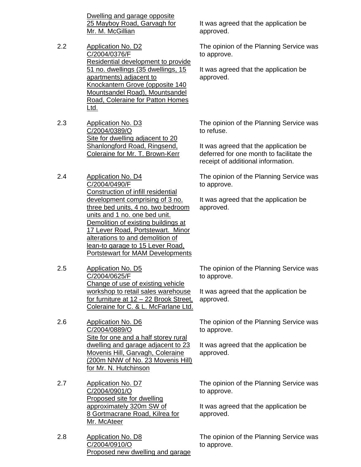Dwelling and garage opposite 25 Mayboy Road, Garvagh for Mr. M. McGillian

- 2.2 Application No. D2 C/2004/0376/F Residential development to provide 51 no. dwellings (35 dwellings, 15 apartments) adjacent to Knockantern Grove (opposite 140 Mountsandel Road), Mountsandel Road, Coleraine for Patton Homes Ltd.
- 2.3 Application No. D3 C/2004/0389/O Site for dwelling adjacent to 20 Shanlongford Road, Ringsend, Coleraine for Mr. T. Brown-Kerr
- 2.4 Application No. D4 C/2004/0490/F Construction of infill residential development comprising of 3 no. three bed units, 4 no. two bedroom units and 1 no. one bed unit. Demolition of existing buildings at 17 Lever Road, Portstewart. Minor alterations to and demolition of lean-to garage to 15 Lever Road, Portstewart for MAM Developments
- 2.5 Application No. D5 C/2004/0625/F Change of use of existing vehicle workshop to retail sales warehouse for furniture at 12 – 22 Brook Street, Coleraine for C. & L. McFarlane Ltd.
- 2.6 Application No. D6 C/2004/0889/O Site for one and a half storey rural dwelling and garage adjacent to 23 Movenis Hill, Garvagh, Coleraine (200m NNW of No. 23 Movenis Hill) for Mr. N. Hutchinson
- 2.7 Application No. D7 C/2004/0901/O Proposed site for dwelling approximately 320m SW of 8 Gortmacrane Road, Kilrea for Mr. McAteer
- 2.8 Application No. D8 C/2004/0910/O Proposed new dwelling and garage

It was agreed that the application be approved.

The opinion of the Planning Service was to approve.

It was agreed that the application be approved.

The opinion of the Planning Service was to refuse.

It was agreed that the application be deferred for one month to facilitate the receipt of additional information.

The opinion of the Planning Service was to approve.

It was agreed that the application be approved.

The opinion of the Planning Service was to approve.

It was agreed that the application be approved.

The opinion of the Planning Service was to approve.

It was agreed that the application be approved.

The opinion of the Planning Service was to approve.

It was agreed that the application be approved.

The opinion of the Planning Service was to approve.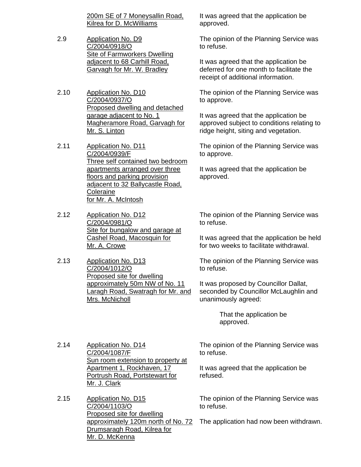200m SE of 7 Moneysallin Road, Kilrea for D. McWilliams

- 2.9 Application No. D9 C/2004/0918/O Site of Farmworkers Dwelling adjacent to 68 Carhill Road, Garvagh for Mr. W. Bradley
- 2.10 Application No. D10 C/2004/0937/O Proposed dwelling and detached garage adjacent to No. 1 Magheramore Road, Garvagh for Mr. S. Linton
- 2.11 Application No. D11 C/2004/0939/F Three self contained two bedroom apartments arranged over three floors and parking provision adjacent to 32 Ballycastle Road, **Coleraine** for Mr. A. McIntosh
- 2.12 Application No. D12 C/2004/0981/O Site for bungalow and garage at Cashel Road, Macosquin for Mr. A. Crowe
- 2.13 Application No. D13 C/2004/1012/O Proposed site for dwelling approximately 50m NW of No. 11 Laragh Road, Swatragh for Mr. and Mrs. McNicholl

It was agreed that the application be approved.

The opinion of the Planning Service was to refuse.

It was agreed that the application be deferred for one month to facilitate the receipt of additional information.

The opinion of the Planning Service was to approve.

It was agreed that the application be approved subject to conditions relating to ridge height, siting and vegetation.

The opinion of the Planning Service was to approve.

It was agreed that the application be approved.

The opinion of the Planning Service was to refuse.

It was agreed that the application be held for two weeks to facilitate withdrawal.

The opinion of the Planning Service was to refuse.

It was proposed by Councillor Dallat, seconded by Councillor McLaughlin and unanimously agreed:

> That the application be approved.

2.14 Application No. D14 C/2004/1087/F Sun room extension to property at Apartment 1, Rockhaven, 17 Portrush Road, Portstewart for Mr. J. Clark

2.15 Application No. D15 C/2004/1103/O Proposed site for dwelling approximately 120m north of No. 72 Drumsaragh Road, Kilrea for Mr. D. McKenna

The opinion of the Planning Service was to refuse.

It was agreed that the application be refused.

The opinion of the Planning Service was to refuse.

The application had now been withdrawn.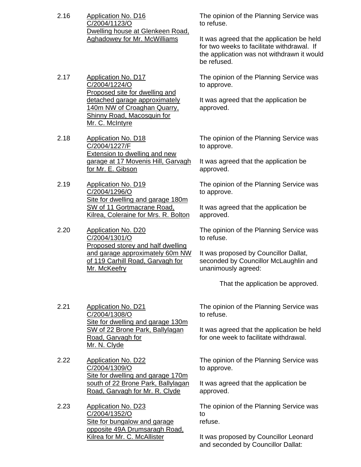- 2.16 Application No. D16 C/2004/1123/O Dwelling house at Glenkeen Road, Aghadowey for Mr. McWilliams
- 2.17 Application No. D17 C/2004/1224/O Proposed site for dwelling and detached garage approximately 140m NW of Croaghan Quarry, Shinny Road, Macosquin for Mr. C. McIntyre
- 2.18 Application No. D18 C/2004/1227/F **Extension to dwelling and new** garage at 17 Movenis Hill, Garvagh for Mr. E. Gibson
- 2.19 Application No. D19 C/2004/1296/O Site for dwelling and garage 180m SW of 11 Gortmacrane Road, Kilrea, Coleraine for Mrs. R. Bolton

2.20 Application No. D20 C/2004/1301/O Proposed storey and half dwelling and garage approximately 60m NW of 119 Carhill Road, Garvagh for Mr. McKeefry

The opinion of the Planning Service was to refuse.

It was agreed that the application be held for two weeks to facilitate withdrawal. If the application was not withdrawn it would be refused.

The opinion of the Planning Service was to approve.

It was agreed that the application be approved.

The opinion of the Planning Service was to approve.

It was agreed that the application be approved.

The opinion of the Planning Service was to approve.

It was agreed that the application be approved.

The opinion of the Planning Service was to refuse.

It was proposed by Councillor Dallat, seconded by Councillor McLaughlin and unanimously agreed:

That the application be approved.

2.21 Application No. D21 C/2004/1308/O Site for dwelling and garage 130m SW of 22 Brone Park, Ballylagan Road, Garvagh for Mr. N. Clyde

2.22 Application No. D22 C/2004/1309/O Site for dwelling and garage 170m south of 22 Brone Park, Ballylagan Road, Garvagh for Mr. R. Clyde

2.23 Application No. D23 C/2004/1352/O Site for bungalow and garage opposite 49A Drumsaragh Road, Kilrea for Mr. C. McAllister

The opinion of the Planning Service was to refuse.

It was agreed that the application be held for one week to facilitate withdrawal.

The opinion of the Planning Service was to approve.

It was agreed that the application be approved.

The opinion of the Planning Service was to refuse.

It was proposed by Councillor Leonard and seconded by Councillor Dallat: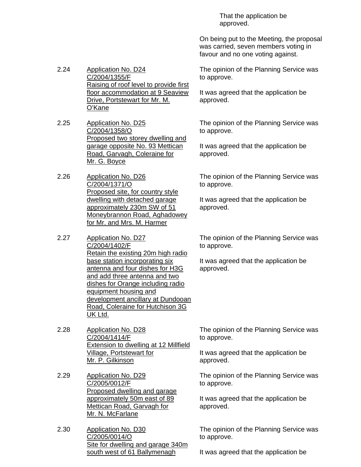That the application be approved.

On being put to the Meeting, the proposal was carried, seven members voting in favour and no one voting against.

The opinion of the Planning Service was to approve.

It was agreed that the application be approved.

The opinion of the Planning Service was to approve.

It was agreed that the application be approved.

The opinion of the Planning Service was to approve.

It was agreed that the application be approved.

The opinion of the Planning Service was to approve.

It was agreed that the application be approved.

2.24 Application No. D24 C/2004/1355/F Raising of roof level to provide first floor accommodation at 9 Seaview Drive, Portstewart for Mr. M. O'Kane

2.25 Application No. D25 C/2004/1358/O Proposed two storey dwelling and garage opposite No. 93 Mettican Road, Garvagh, Coleraine for Mr. G. Boyce

2.26 Application No. D26 C/2004/1371/O Proposed site, for country style dwelling with detached garage approximately 230m SW of 51 Moneybrannon Road, Aghadowey for Mr. and Mrs. M. Harmer

2.27 Application No. D27 C/2004/1402/F Retain the existing 20m high radio base station incorporating six antenna and four dishes for H3G and add three antenna and two dishes for Orange including radio equipment housing and development ancillary at Dundooan Road, Coleraine for Hutchison 3G UK Ltd.

2.28 Application No. D28 C/2004/1414/F Extension to dwelling at 12 Millfield Village, Portstewart for Mr. P. Gilkinson

2.29 Application No. D29 C/2005/0012/F Proposed dwelling and garage approximately 50m east of 89 Mettican Road, Garvagh for Mr. N. McFarlane

2.30 Application No. D30 C/2005/0014/O Site for dwelling and garage 340m south west of 61 Ballymenagh

The opinion of the Planning Service was to approve.

It was agreed that the application be approved.

The opinion of the Planning Service was to approve.

It was agreed that the application be approved.

The opinion of the Planning Service was to approve.

It was agreed that the application be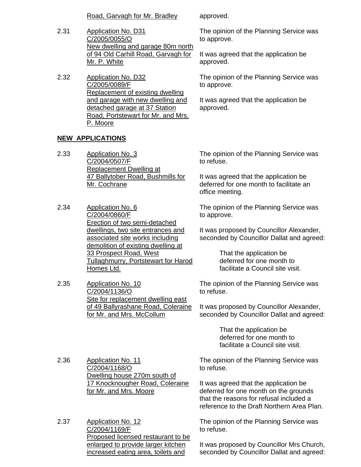Road, Garvagh for Mr. Bradley approved.

- 2.31 Application No. D31 C/2005/0055/O New dwelling and garage 80m north of 94 Old Carhill Road, Garvagh for Mr. P. White
- 2.32 Application No. D32 C/2005/0089/F Replacement of existing dwelling and garage with new dwelling and detached garage at 37 Station Road, Portstewart for Mr. and Mrs. P. Moore

#### **NEW APPLICATIONS**

- 2.33 Application No. 3 C/2004/0507/F Replacement Dwelling at 47 Ballytober Road, Bushmills for Mr. Cochrane
- 2.34 Application No. 6 C/2004/0860/F Erection of two semi-detached dwellings, two site entrances and associated site works including demolition of existing dwelling at 33 Prospect Road, West Tullaghmurry, Portstewart for Harod Homes Ltd.
- 2.35 Application No. 10 C/2004/1136/O Site for replacement dwelling east of 49 Ballyrashane Road, Coleraine for Mr. and Mrs. McCollum

The opinion of the Planning Service was to approve.

It was agreed that the application be approved.

The opinion of the Planning Service was to approve.

It was agreed that the application be approved.

The opinion of the Planning Service was to refuse.

It was agreed that the application be deferred for one month to facilitate an office meeting.

The opinion of the Planning Service was to approve.

It was proposed by Councillor Alexander, seconded by Councillor Dallat and agreed:

> That the application be deferred for one month to facilitate a Council site visit.

The opinion of the Planning Service was to refuse.

It was proposed by Councillor Alexander, seconded by Councillor Dallat and agreed:

> That the application be deferred for one month to facilitate a Council site visit.

2.36 Application No. 11 C/2004/1168/O Dwelling house 270m south of 17 Knocknougher Road, Coleraine for Mr. and Mrs. Moore

2.37 Application No. 12 C/2004/1169/F Proposed licensed restaurant to be enlarged to provide larger kitchen increased eating area, toilets and

The opinion of the Planning Service was to refuse.

It was agreed that the application be deferred for one month on the grounds that the reasons for refusal included a reference to the Draft Northern Area Plan.

The opinion of the Planning Service was to refuse.

It was proposed by Councillor Mrs Church, seconded by Councillor Dallat and agreed: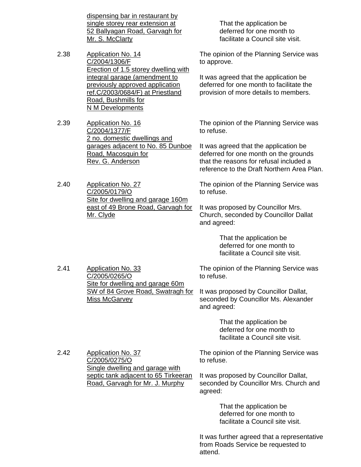dispensing bar in restaurant by single storey rear extension at 52 Ballyagan Road, Garvagh for Mr. S. McClarty

2.38 Application No. 14 C/2004/1306/F Erection of 1.5 storey dwelling with integral garage (amendment to previously approved application ref.C/2003/0684/F) at Priestland Road, Bushmills for N M Developments

2.39 Application No. 16 C/2004/1377/F 2 no. domestic dwellings and garages adjacent to No. 85 Dunboe Road, Macosquin for Rev. G. Anderson

2.40 Application No. 27 C/2005/0179/O Site for dwelling and garage 160m east of 49 Brone Road, Garvagh for Mr. Clyde

2.41 Application No. 33

C/2005/0265/O

Miss McGarvey

 That the application be deferred for one month to facilitate a Council site visit.

The opinion of the Planning Service was to approve.

It was agreed that the application be deferred for one month to facilitate the provision of more details to members.

The opinion of the Planning Service was to refuse.

It was agreed that the application be deferred for one month on the grounds that the reasons for refusal included a reference to the Draft Northern Area Plan.

The opinion of the Planning Service was to refuse.

It was proposed by Councillor Mrs. Church, seconded by Councillor Dallat and agreed:

> That the application be deferred for one month to facilitate a Council site visit.

The opinion of the Planning Service was to refuse.

It was proposed by Councillor Dallat, seconded by Councillor Ms. Alexander and agreed:

> That the application be deferred for one month to facilitate a Council site visit.

2.42 Application No. 37 C/2005/0275/O Single dwelling and garage with septic tank adjacent to 65 Tirkeeran Road, Garvagh for Mr. J. Murphy

Site for dwelling and garage 60m SW of 84 Grove Road, Swatragh for

> The opinion of the Planning Service was to refuse.

It was proposed by Councillor Dallat, seconded by Councillor Mrs. Church and agreed:

> That the application be deferred for one month to facilitate a Council site visit.

It was further agreed that a representative from Roads Service be requested to attend.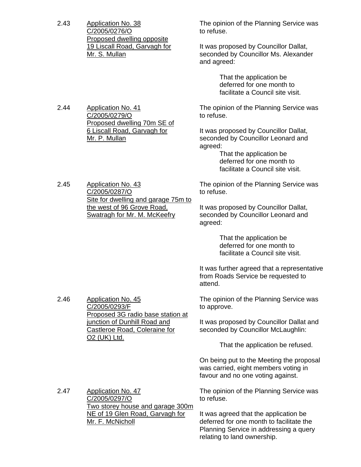| 2.43 | <b>Application No. 38</b><br>C/2005/0276/O<br>Proposed dwelling opposite<br>19 Liscall Road, Garvagh for<br>Mr. S. Mullan                                                          | The opinion of the Planning Service was<br>to refuse.                                                                                                                              |  |
|------|------------------------------------------------------------------------------------------------------------------------------------------------------------------------------------|------------------------------------------------------------------------------------------------------------------------------------------------------------------------------------|--|
|      |                                                                                                                                                                                    | It was proposed by Councillor Dallat,<br>seconded by Councillor Ms. Alexander<br>and agreed:                                                                                       |  |
|      |                                                                                                                                                                                    | That the application be<br>deferred for one month to<br>facilitate a Council site visit.                                                                                           |  |
| 2.44 | <b>Application No. 41</b><br>C/2005/0279/O<br>Proposed dwelling 70m SE of<br>6 Liscall Road, Garvagh for<br>Mr. P. Mullan                                                          | The opinion of the Planning Service was<br>to refuse.                                                                                                                              |  |
|      |                                                                                                                                                                                    | It was proposed by Councillor Dallat,<br>seconded by Councillor Leonard and<br>agreed:<br>That the application be<br>deferred for one month to<br>facilitate a Council site visit. |  |
| 2.45 | <b>Application No. 43</b><br>C/2005/0287/O<br>Site for dwelling and garage 75m to<br>the west of 96 Grove Road,<br>Swatragh for Mr. M. McKeefry                                    | The opinion of the Planning Service was<br>to refuse.                                                                                                                              |  |
|      |                                                                                                                                                                                    | It was proposed by Councillor Dallat,<br>seconded by Councillor Leonard and<br>agreed:                                                                                             |  |
|      |                                                                                                                                                                                    | That the application be<br>deferred for one month to<br>facilitate a Council site visit.                                                                                           |  |
|      |                                                                                                                                                                                    | It was further agreed that a representative<br>from Roads Service be requested to<br>attend.                                                                                       |  |
| 2.46 | <b>Application No. 45</b><br>C/2005/0293/F<br>Proposed 3G radio base station at<br>junction of Dunhill Road and<br>Castleroe Road, Coleraine for<br><u>O<sub>2</sub></u> (UK) Ltd. | The opinion of the Planning Service was<br>to approve.                                                                                                                             |  |
|      |                                                                                                                                                                                    | It was proposed by Councillor Dallat and<br>seconded by Councillor McLaughlin:                                                                                                     |  |
|      |                                                                                                                                                                                    | That the application be refused.                                                                                                                                                   |  |
|      |                                                                                                                                                                                    | On being put to the Meeting the proposal<br>was carried, eight members voting in<br>favour and no one voting against.                                                              |  |
| 2.47 | <b>Application No. 47</b><br>C/2005/0297/O<br>Two storey house and garage 300m<br>NE of 19 Glen Road, Garvagh for<br>Mr. F. McNicholl                                              | The opinion of the Planning Service was<br>to refuse.                                                                                                                              |  |
|      |                                                                                                                                                                                    | It was agreed that the application be<br>deferred for one month to facilitate the<br>Planning Service in addressing a query<br>relating to land ownership.                         |  |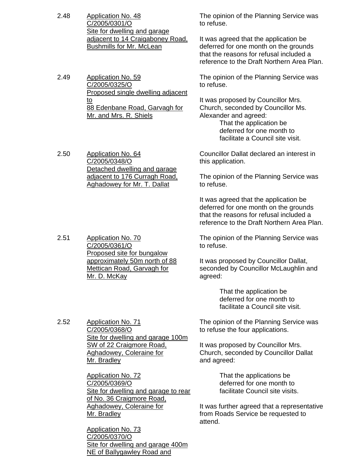2.48 Application No. 48 C/2005/0301/O Site for dwelling and garage adjacent to 14 Craigaboney Road, Bushmills for Mr. McLean The opinion of the Planning Service was to refuse. It was agreed that the application be deferred for one month on the grounds that the reasons for refusal included a reference to the Draft Northern Area Plan. 2.49 Application No. 59 C/2005/0325/O Proposed single dwelling adjacent to 88 Edenbane Road, Garvagh for Mr. and Mrs. R. Shiels The opinion of the Planning Service was to refuse. It was proposed by Councillor Mrs. Church, seconded by Councillor Ms. Alexander and agreed: That the application be deferred for one month to facilitate a Council site visit. 2.50 Application No. 64 C/2005/0348/O Detached dwelling and garage adjacent to 176 Curragh Road, Aghadowey for Mr. T. Dallat Councillor Dallat declared an interest in this application. The opinion of the Planning Service was to refuse. It was agreed that the application be deferred for one month on the grounds that the reasons for refusal included a reference to the Draft Northern Area Plan. 2.51 Application No. 70 C/2005/0361/O Proposed site for bungalow approximately 50m north of 88 Mettican Road, Garvagh for Mr. D. McKay The opinion of the Planning Service was to refuse. It was proposed by Councillor Dallat, seconded by Councillor McLaughlin and agreed: That the application be deferred for one month to facilitate a Council site visit. 2.52 Application No. 71 C/2005/0368/O Site for dwelling and garage 100m SW of 22 Craigmore Road, Aghadowey, Coleraine for Mr. Bradley Application No. 72 C/2005/0369/O Site for dwelling and garage to rear of No. 36 Craigmore Road, Aghadowey, Coleraine for The opinion of the Planning Service was to refuse the four applications. It was proposed by Councillor Mrs. Church, seconded by Councillor Dallat and agreed: That the applications be deferred for one month to facilitate Council site visits. It was further agreed that a representative

from Roads Service be requested to

attend.

Mr. Bradley

Application No. 73 C/2005/0370/O Site for dwelling and garage 400m NE of Ballygawley Road and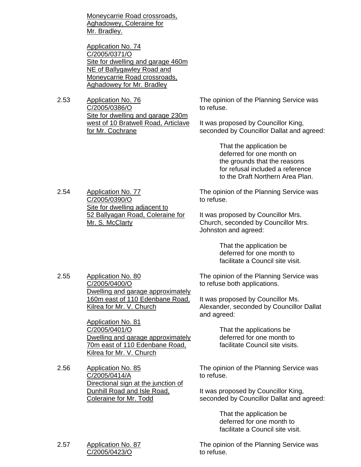Moneycarrie Road crossroads, Aghadowey, Coleraine for Mr. Bradley.

Application No. 74 C/2005/0371/O Site for dwelling and garage 460m NE of Ballygawley Road and Moneycarrie Road crossroads, Aghadowey for Mr. Bradley

2.53 Application No. 76 C/2005/0386/O Site for dwelling and garage 230m west of 10 Bratwell Road, Articlave for Mr. Cochrane

The opinion of the Planning Service was to refuse.

It was proposed by Councillor King, seconded by Councillor Dallat and agreed:

> That the application be deferred for one month on the grounds that the reasons for refusal included a reference to the Draft Northern Area Plan.

The opinion of the Planning Service was to refuse.

> It was proposed by Councillor Mrs. Church, seconded by Councillor Mrs. Johnston and agreed:

> > That the application be deferred for one month to facilitate a Council site visit.

The opinion of the Planning Service was to refuse both applications.

> It was proposed by Councillor Ms. Alexander, seconded by Councillor Dallat and agreed:

> > That the applications be deferred for one month to facilitate Council site visits.

The opinion of the Planning Service was to refuse.

It was proposed by Councillor King, seconded by Councillor Dallat and agreed:

> That the application be deferred for one month to facilitate a Council site visit.

2.57 Application No. 87 C/2005/0423/O The opinion of the Planning Service was to refuse.

2.54 Application No. 77 C/2005/0390/O Site for dwelling adjacent to 52 Ballyagan Road, Coleraine for Mr. S. McClarty

2.55 Application No. 80

C/2005/0400/O Dwelling and garage approximately 160m east of 110 Edenbane Road, Kilrea for Mr. V. Church

Application No. 81 C/2005/0401/O Dwelling and garage approximately 70m east of 110 Edenbane Road, Kilrea for Mr. V. Church

2.56 Application No. 85 C/2005/0414/A Directional sign at the junction of Dunhill Road and Isle Road, Coleraine for Mr. Todd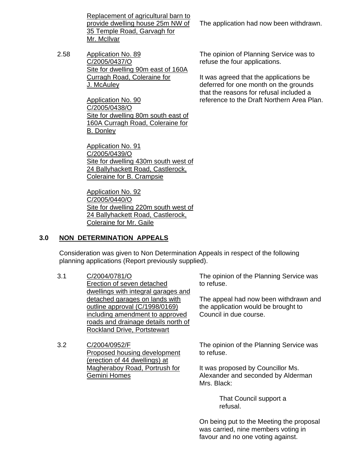Replacement of agricultural barn to provide dwelling house 25m NW of 35 Temple Road, Garvagh for Mr. McIlvar

2.58 Application No. 89 C/2005/0437/O Site for dwelling 90m east of 160A Curragh Road, Coleraine for J. McAuley

> Application No. 90 C/2005/0438/O Site for dwelling 80m south east of 160A Curragh Road, Coleraine for B. Donley

Application No. 91 C/2005/0439/O Site for dwelling 430m south west of 24 Ballyhackett Road, Castlerock, Coleraine for B. Crampsie

Application No. 92 C/2005/0440/O Site for dwelling 220m south west of 24 Ballyhackett Road, Castlerock, Coleraine for Mr. Gaile

## **3.0 NON DETERMINATION APPEALS**

 Consideration was given to Non Determination Appeals in respect of the following planning applications (Report previously supplied).

- 3.1 C/2004/0781/O Erection of seven detached dwellings with integral garages and detached garages on lands with outline approval (C/1998/0169) including amendment to approved roads and drainage details north of Rockland Drive, Portstewart
- 3.2 C/2004/0952/F Proposed housing development (erection of 44 dwellings) at Magheraboy Road, Portrush for Gemini Homes

The application had now been withdrawn.

The opinion of Planning Service was to refuse the four applications.

It was agreed that the applications be deferred for one month on the grounds that the reasons for refusal included a reference to the Draft Northern Area Plan.

The opinion of the Planning Service was to refuse.

The appeal had now been withdrawn and the application would be brought to Council in due course.

The opinion of the Planning Service was to refuse.

It was proposed by Councillor Ms. Alexander and seconded by Alderman Mrs. Black:

> That Council support a refusal.

On being put to the Meeting the proposal was carried, nine members voting in favour and no one voting against.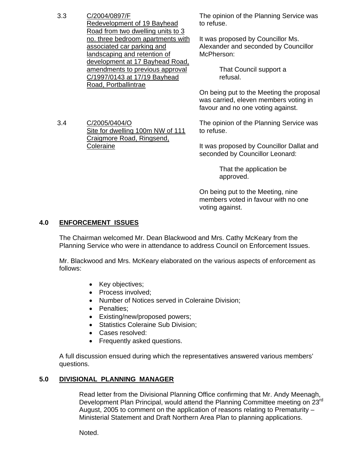## 3.3 C/2004/0897/F

3.4 C/2005/0404/O

**Coleraine** 

Redevelopment of 19 Bayhead Road from two dwelling units to 3 no. three bedroom apartments with associated car parking and landscaping and retention of development at 17 Bayhead Road, amendments to previous approval C/1997/0143 at 17/19 Bayhead Road, Portballintrae

Site for dwelling 100m NW of 111

Craigmore Road, Ringsend,

The opinion of the Planning Service was to refuse.

It was proposed by Councillor Ms. Alexander and seconded by Councillor McPherson:

> That Council support a refusal.

On being put to the Meeting the proposal was carried, eleven members voting in favour and no one voting against.

The opinion of the Planning Service was to refuse.

It was proposed by Councillor Dallat and seconded by Councillor Leonard:

> That the application be approved.

On being put to the Meeting, nine members voted in favour with no one voting against.

## **4.0 ENFORCEMENT ISSUES**

 The Chairman welcomed Mr. Dean Blackwood and Mrs. Cathy McKeary from the Planning Service who were in attendance to address Council on Enforcement Issues.

 Mr. Blackwood and Mrs. McKeary elaborated on the various aspects of enforcement as follows:

- Key objectives;
- Process involved;
- Number of Notices served in Coleraine Division;
- Penalties;
- Existing/new/proposed powers;
- **Statistics Coleraine Sub Division;**
- Cases resolved:
- Frequently asked questions.

 A full discussion ensued during which the representatives answered various members' questions.

# **5.0 DIVISIONAL PLANNING MANAGER**

 Read letter from the Divisional Planning Office confirming that Mr. Andy Meenagh, Development Plan Principal, would attend the Planning Committee meeting on 23rd August, 2005 to comment on the application of reasons relating to Prematurity  $-$ Ministerial Statement and Draft Northern Area Plan to planning applications.

Noted.